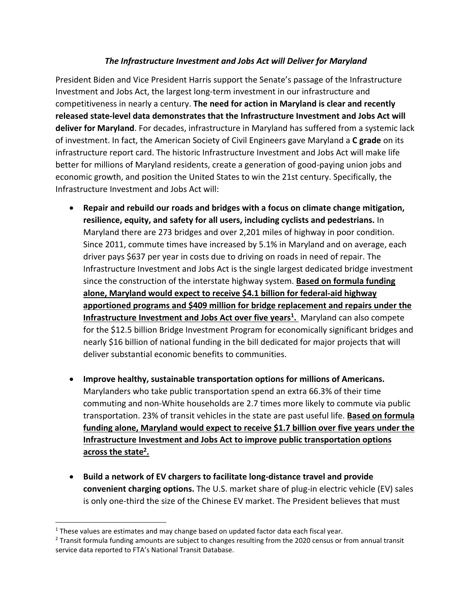## *The Infrastructure Investment and Jobs Act will Deliver for Maryland*

President Biden and Vice President Harris support the Senate's passage of the Infrastructure Investment and Jobs Act, the largest long-term investment in our infrastructure and competitiveness in nearly a century. **The need for action in Maryland is clear and recently released state-level data demonstrates that the Infrastructure Investment and Jobs Act will deliver for Maryland**. For decades, infrastructure in Maryland has suffered from a systemic lack of investment. In fact, the American Society of Civil Engineers gave Maryland a **C grade** on its infrastructure report card. The historic Infrastructure Investment and Jobs Act will make life better for millions of Maryland residents, create a generation of good-paying union jobs and economic growth, and position the United States to win the 21st century. Specifically, the Infrastructure Investment and Jobs Act will:

- **Repair and rebuild our roads and bridges with a focus on climate change mitigation, resilience, equity, and safety for all users, including cyclists and pedestrians.** In Maryland there are 273 bridges and over 2,201 miles of highway in poor condition. Since 2011, commute times have increased by 5.1% in Maryland and on average, each driver pays \$637 per year in costs due to driving on roads in need of repair. The Infrastructure Investment and Jobs Act is the single largest dedicated bridge investment since the construction of the interstate highway system. **Based on formula funding alone, Maryland would expect to receive \$4.1 billion for federal-aid highway apportioned programs and \$409 million for bridge replacement and repairs under the Infrastructure Investment and Jobs Act over five years<sup>1</sup> .** Maryland can also compete for the \$12.5 billion Bridge Investment Program for economically significant bridges and nearly \$16 billion of national funding in the bill dedicated for major projects that will deliver substantial economic benefits to communities.
- **Improve healthy, sustainable transportation options for millions of Americans.**  Marylanders who take public transportation spend an extra 66.3% of their time commuting and non-White households are 2.7 times more likely to commute via public transportation. 23% of transit vehicles in the state are past useful life. **Based on formula funding alone, Maryland would expect to receive \$1.7 billion over five years under the Infrastructure Investment and Jobs Act to improve public transportation options across the state<sup>2</sup> .**
- **Build a network of EV chargers to facilitate long-distance travel and provide convenient charging options.** The U.S. market share of plug-in electric vehicle (EV) sales is only one-third the size of the Chinese EV market. The President believes that must

 $\overline{\phantom{a}}$ 

 $1$  These values are estimates and may change based on updated factor data each fiscal year.

<sup>2</sup> Transit formula funding amounts are subject to changes resulting from the 2020 census or from annual transit service data reported to FTA's National Transit Database.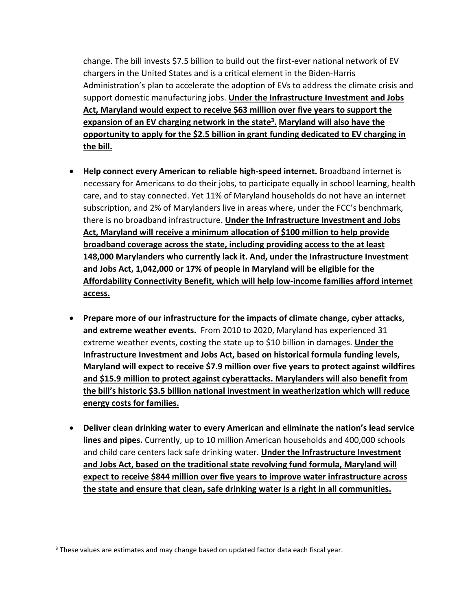change. The bill invests \$7.5 billion to build out the first-ever national network of EV chargers in the United States and is a critical element in the Biden-Harris Administration's plan to accelerate the adoption of EVs to address the climate crisis and support domestic manufacturing jobs. **Under the Infrastructure Investment and Jobs Act, Maryland would expect to receive \$63 million over five years to support the expansion of an EV charging network in the state<sup>3</sup> . Maryland will also have the opportunity to apply for the \$2.5 billion in grant funding dedicated to EV charging in the bill.**

- **Help connect every American to reliable high-speed internet.** Broadband internet is necessary for Americans to do their jobs, to participate equally in school learning, health care, and to stay connected. Yet 11% of Maryland households do not have an internet subscription, and 2% of Marylanders live in areas where, under the FCC's benchmark, there is no broadband infrastructure. **Under the Infrastructure Investment and Jobs Act, Maryland will receive a minimum allocation of \$100 million to help provide broadband coverage across the state, including providing access to the at least 148,000 Marylanders who currently lack it. And, under the Infrastructure Investment and Jobs Act, 1,042,000 or 17% of people in Maryland will be eligible for the Affordability Connectivity Benefit, which will help low-income families afford internet access.**
- **Prepare more of our infrastructure for the impacts of climate change, cyber attacks, and extreme weather events.** From 2010 to 2020, Maryland has experienced 31 extreme weather events, costing the state up to \$10 billion in damages. **Under the Infrastructure Investment and Jobs Act, based on historical formula funding levels, Maryland will expect to receive \$7.9 million over five years to protect against wildfires and \$15.9 million to protect against cyberattacks. Marylanders will also benefit from the bill's historic \$3.5 billion national investment in weatherization which will reduce energy costs for families.**
- **Deliver clean drinking water to every American and eliminate the nation's lead service lines and pipes.** Currently, up to 10 million American households and 400,000 schools and child care centers lack safe drinking water. **Under the Infrastructure Investment and Jobs Act, based on the traditional state revolving fund formula, Maryland will expect to receive \$844 million over five years to improve water infrastructure across the state and ensure that clean, safe drinking water is a right in all communities.**

 $\overline{a}$ 

<sup>&</sup>lt;sup>3</sup> These values are estimates and may change based on updated factor data each fiscal year.